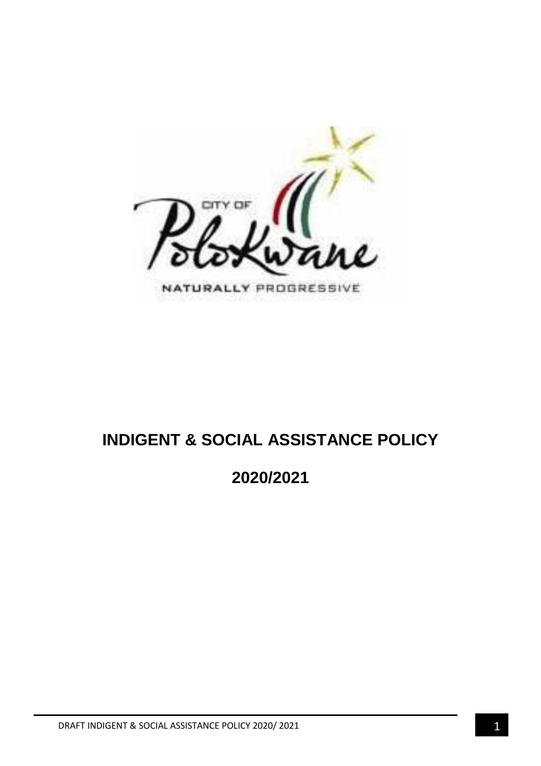

# **INDIGENT & SOCIAL ASSISTANCE POLICY**

**2020/2021**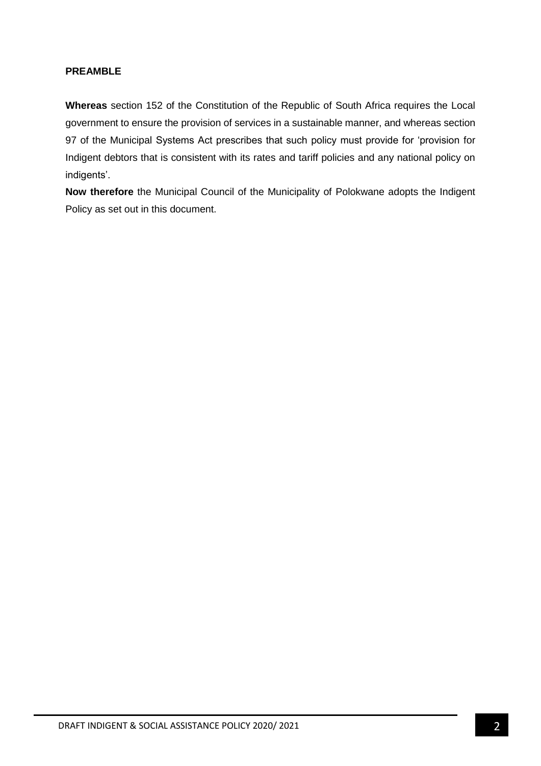## **PREAMBLE**

**Whereas** section 152 of the Constitution of the Republic of South Africa requires the Local government to ensure the provision of services in a sustainable manner, and whereas section 97 of the Municipal Systems Act prescribes that such policy must provide for 'provision for Indigent debtors that is consistent with its rates and tariff policies and any national policy on indigents'.

**Now therefore** the Municipal Council of the Municipality of Polokwane adopts the Indigent Policy as set out in this document.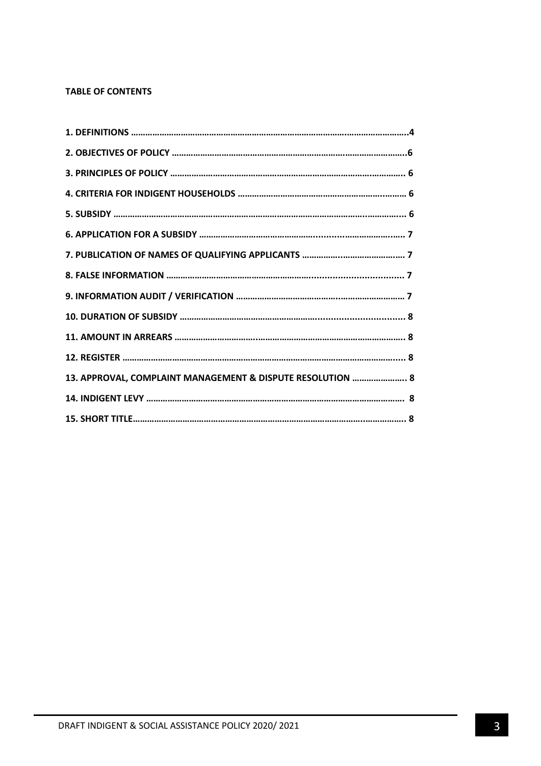## **TABLE OF CONTENTS**

| 13. APPROVAL, COMPLAINT MANAGEMENT & DISPUTE RESOLUTION  8 |
|------------------------------------------------------------|
|                                                            |
|                                                            |
|                                                            |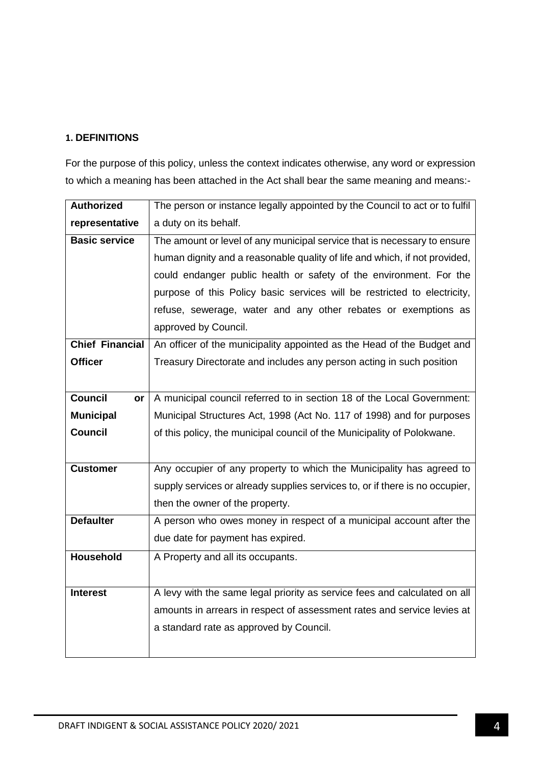## **1. DEFINITIONS**

For the purpose of this policy, unless the context indicates otherwise, any word or expression to which a meaning has been attached in the Act shall bear the same meaning and means:-

| <b>Authorized</b>      | The person or instance legally appointed by the Council to act or to fulfil  |
|------------------------|------------------------------------------------------------------------------|
| representative         | a duty on its behalf.                                                        |
| <b>Basic service</b>   | The amount or level of any municipal service that is necessary to ensure     |
|                        | human dignity and a reasonable quality of life and which, if not provided,   |
|                        | could endanger public health or safety of the environment. For the           |
|                        | purpose of this Policy basic services will be restricted to electricity,     |
|                        | refuse, sewerage, water and any other rebates or exemptions as               |
|                        | approved by Council.                                                         |
| <b>Chief Financial</b> | An officer of the municipality appointed as the Head of the Budget and       |
| <b>Officer</b>         | Treasury Directorate and includes any person acting in such position         |
|                        |                                                                              |
| <b>Council</b><br>or   | A municipal council referred to in section 18 of the Local Government:       |
| <b>Municipal</b>       | Municipal Structures Act, 1998 (Act No. 117 of 1998) and for purposes        |
| <b>Council</b>         | of this policy, the municipal council of the Municipality of Polokwane.      |
|                        |                                                                              |
| <b>Customer</b>        | Any occupier of any property to which the Municipality has agreed to         |
|                        | supply services or already supplies services to, or if there is no occupier, |
|                        | then the owner of the property.                                              |
| <b>Defaulter</b>       | A person who owes money in respect of a municipal account after the          |
|                        | due date for payment has expired.                                            |
| <b>Household</b>       | A Property and all its occupants.                                            |
|                        |                                                                              |
| <b>Interest</b>        | A levy with the same legal priority as service fees and calculated on all    |
|                        | amounts in arrears in respect of assessment rates and service levies at      |
|                        | a standard rate as approved by Council.                                      |
|                        |                                                                              |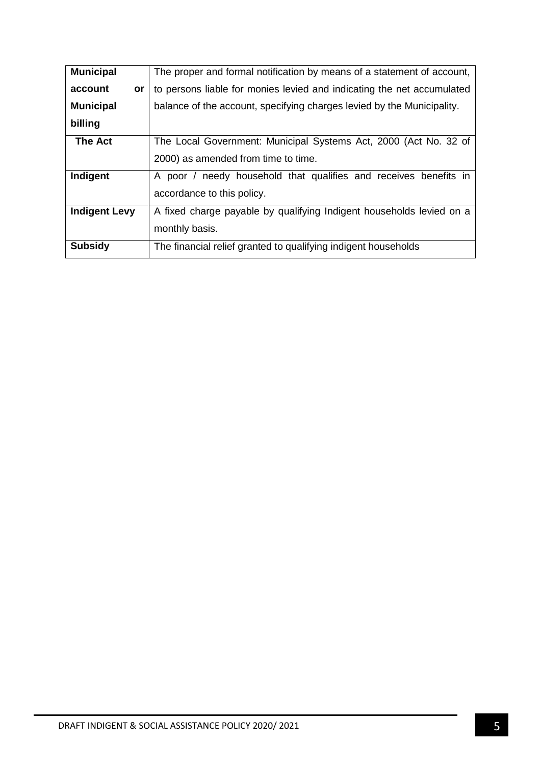| <b>Municipal</b>     | The proper and formal notification by means of a statement of account, |
|----------------------|------------------------------------------------------------------------|
| account<br>or        | to persons liable for monies levied and indicating the net accumulated |
| <b>Municipal</b>     | balance of the account, specifying charges levied by the Municipality. |
| billing              |                                                                        |
| <b>The Act</b>       | The Local Government: Municipal Systems Act, 2000 (Act No. 32 of       |
|                      | 2000) as amended from time to time.                                    |
| Indigent             | A poor / needy household that qualifies and receives benefits in       |
|                      | accordance to this policy.                                             |
| <b>Indigent Levy</b> | A fixed charge payable by qualifying Indigent households levied on a   |
|                      | monthly basis.                                                         |
| <b>Subsidy</b>       | The financial relief granted to qualifying indigent households         |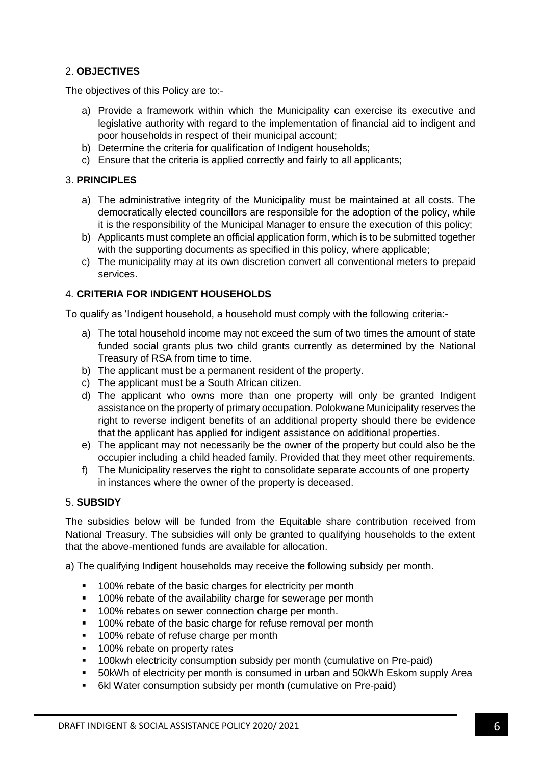## 2. **OBJECTIVES**

The objectives of this Policy are to:-

- a) Provide a framework within which the Municipality can exercise its executive and legislative authority with regard to the implementation of financial aid to indigent and poor households in respect of their municipal account;
- b) Determine the criteria for qualification of Indigent households;
- c) Ensure that the criteria is applied correctly and fairly to all applicants;

## 3. **PRINCIPLES**

- a) The administrative integrity of the Municipality must be maintained at all costs. The democratically elected councillors are responsible for the adoption of the policy, while it is the responsibility of the Municipal Manager to ensure the execution of this policy;
- b) Applicants must complete an official application form, which is to be submitted together with the supporting documents as specified in this policy, where applicable;
- c) The municipality may at its own discretion convert all conventional meters to prepaid services.

## 4. **CRITERIA FOR INDIGENT HOUSEHOLDS**

To qualify as 'Indigent household, a household must comply with the following criteria:-

- a) The total household income may not exceed the sum of two times the amount of state funded social grants plus two child grants currently as determined by the National Treasury of RSA from time to time.
- b) The applicant must be a permanent resident of the property.
- c) The applicant must be a South African citizen.
- d) The applicant who owns more than one property will only be granted Indigent assistance on the property of primary occupation. Polokwane Municipality reserves the right to reverse indigent benefits of an additional property should there be evidence that the applicant has applied for indigent assistance on additional properties.
- e) The applicant may not necessarily be the owner of the property but could also be the occupier including a child headed family. Provided that they meet other requirements.
- f) The Municipality reserves the right to consolidate separate accounts of one property in instances where the owner of the property is deceased.

## 5. **SUBSIDY**

The subsidies below will be funded from the Equitable share contribution received from National Treasury. The subsidies will only be granted to qualifying households to the extent that the above-mentioned funds are available for allocation.

a) The qualifying Indigent households may receive the following subsidy per month.

- <sup>1</sup> 100% rebate of the basic charges for electricity per month
- **100% rebate of the availability charge for sewerage per month**
- **100% rebates on sewer connection charge per month.**
- 100% rebate of the basic charge for refuse removal per month
- <sup>1</sup> 100% rebate of refuse charge per month
- **100% rebate on property rates**
- **100kwh electricity consumption subsidy per month (cumulative on Pre-paid)**
- 50kWh of electricity per month is consumed in urban and 50kWh Eskom supply Area
- 6kl Water consumption subsidy per month (cumulative on Pre-paid)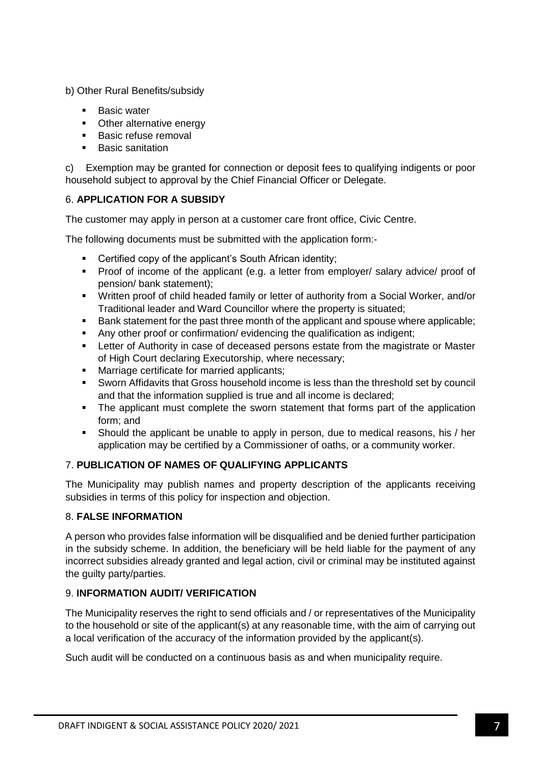b) Other Rural Benefits/subsidy

- **Basic water**
- Other alternative energy
- **Basic refuse removal**
- **Basic sanitation**

c) Exemption may be granted for connection or deposit fees to qualifying indigents or poor household subject to approval by the Chief Financial Officer or Delegate.

## 6. **APPLICATION FOR A SUBSIDY**

The customer may apply in person at a customer care front office, Civic Centre.

The following documents must be submitted with the application form:-

- Certified copy of the applicant's South African identity;
- **Proof of income of the applicant (e.g. a letter from employer/ salary advice/ proof of** pension/ bank statement);
- Written proof of child headed family or letter of authority from a Social Worker, and/or Traditional leader and Ward Councillor where the property is situated;
- Bank statement for the past three month of the applicant and spouse where applicable;
- Any other proof or confirmation/ evidencing the qualification as indigent;
- **EXECTER 1** Letter of Authority in case of deceased persons estate from the magistrate or Master of High Court declaring Executorship, where necessary;
- Marriage certificate for married applicants;
- Sworn Affidavits that Gross household income is less than the threshold set by council and that the information supplied is true and all income is declared;
- The applicant must complete the sworn statement that forms part of the application form; and
- Should the applicant be unable to apply in person, due to medical reasons, his / her application may be certified by a Commissioner of oaths, or a community worker.

## 7. **PUBLICATION OF NAMES OF QUALIFYING APPLICANTS**

The Municipality may publish names and property description of the applicants receiving subsidies in terms of this policy for inspection and objection.

## 8. **FALSE INFORMATION**

A person who provides false information will be disqualified and be denied further participation in the subsidy scheme. In addition, the beneficiary will be held liable for the payment of any incorrect subsidies already granted and legal action, civil or criminal may be instituted against the guilty party/parties.

## 9. **INFORMATION AUDIT/ VERIFICATION**

The Municipality reserves the right to send officials and / or representatives of the Municipality to the household or site of the applicant(s) at any reasonable time, with the aim of carrying out a local verification of the accuracy of the information provided by the applicant(s).

Such audit will be conducted on a continuous basis as and when municipality require.